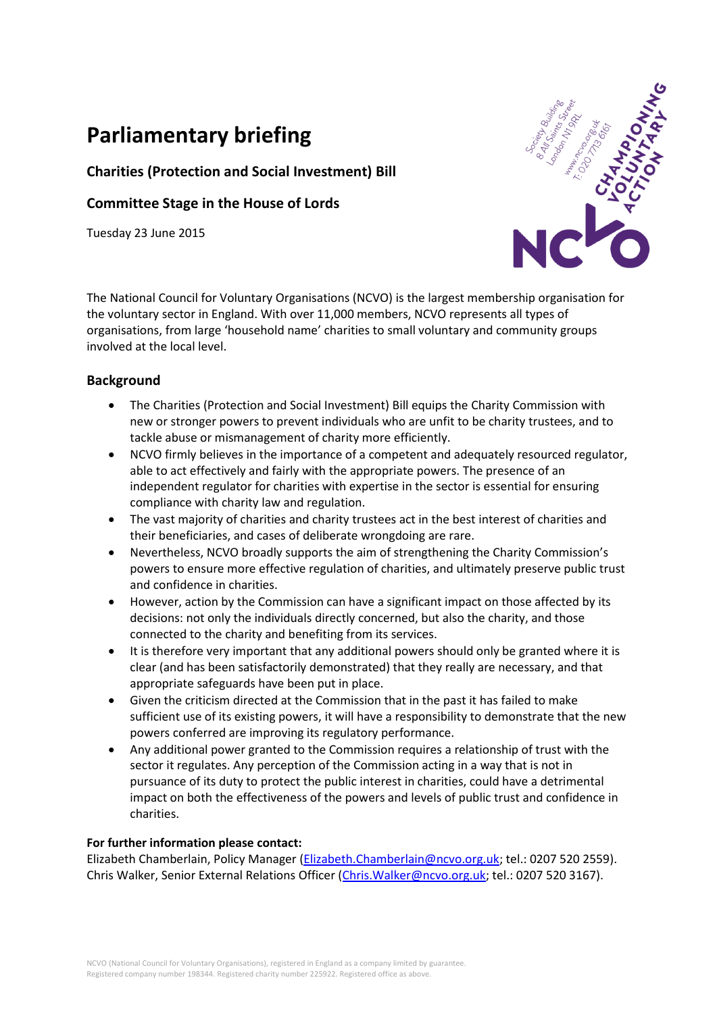# **Parliamentary briefing**

# **Charities (Protection and Social Investment) Bill**

# **Committee Stage in the House of Lords**

Tuesday 23 June 2015



The National Council for Voluntary Organisations (NCVO) is the largest membership organisation for the voluntary sector in England. With over 11,000 members, NCVO represents all types of organisations, from large 'household name' charities to small voluntary and community groups involved at the local level.

## **Background**

- The Charities (Protection and Social Investment) Bill equips the Charity Commission with new or stronger powers to prevent individuals who are unfit to be charity trustees, and to tackle abuse or mismanagement of charity more efficiently.
- NCVO firmly believes in the importance of a competent and adequately resourced regulator, able to act effectively and fairly with the appropriate powers. The presence of an independent regulator for charities with expertise in the sector is essential for ensuring compliance with charity law and regulation.
- The vast majority of charities and charity trustees act in the best interest of charities and their beneficiaries, and cases of deliberate wrongdoing are rare.
- Nevertheless, NCVO broadly supports the aim of strengthening the Charity Commission's powers to ensure more effective regulation of charities, and ultimately preserve public trust and confidence in charities.
- However, action by the Commission can have a significant impact on those affected by its decisions: not only the individuals directly concerned, but also the charity, and those connected to the charity and benefiting from its services.
- It is therefore very important that any additional powers should only be granted where it is clear (and has been satisfactorily demonstrated) that they really are necessary, and that appropriate safeguards have been put in place.
- Given the criticism directed at the Commission that in the past it has failed to make sufficient use of its existing powers, it will have a responsibility to demonstrate that the new powers conferred are improving its regulatory performance.
- Any additional power granted to the Commission requires a relationship of trust with the sector it regulates. Any perception of the Commission acting in a way that is not in pursuance of its duty to protect the public interest in charities, could have a detrimental impact on both the effectiveness of the powers and levels of public trust and confidence in charities.

#### **For further information please contact:**

Elizabeth Chamberlain, Policy Manager [\(Elizabeth.Chamberlain@ncvo.org.uk;](mailto:Elizabeth.Chamberlain@ncvo.org.uk) tel.: 0207 520 2559). Chris Walker, Senior External Relations Officer [\(Chris.Walker@ncvo.org.uk;](mailto:Chris.Walker@ncvo.org.uk) tel.: 0207 520 3167).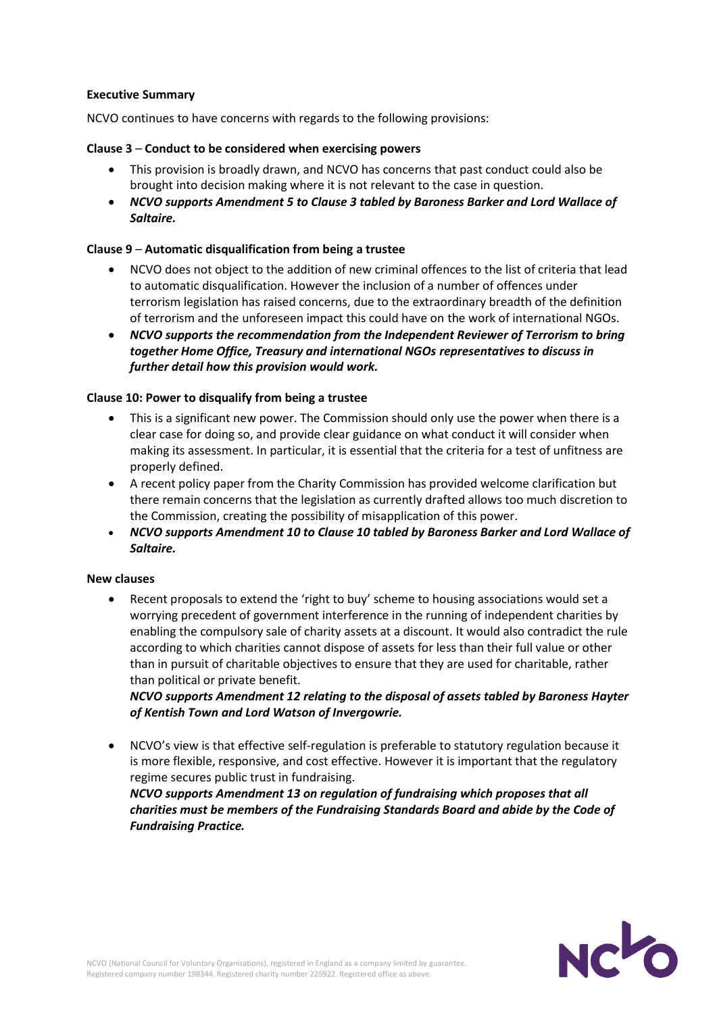#### **Executive Summary**

NCVO continues to have concerns with regards to the following provisions:

#### **Clause 3** – **Conduct to be considered when exercising powers**

- This provision is broadly drawn, and NCVO has concerns that past conduct could also be brought into decision making where it is not relevant to the case in question.
- *NCVO supports Amendment 5 to Clause 3 tabled by Baroness Barker and Lord Wallace of Saltaire.*

#### **Clause 9** – **Automatic disqualification from being a trustee**

- NCVO does not object to the addition of new criminal offences to the list of criteria that lead to automatic disqualification. However the inclusion of a number of offences under terrorism legislation has raised concerns, due to the extraordinary breadth of the definition of terrorism and the unforeseen impact this could have on the work of international NGOs.
- *NCVO supports the recommendation from the Independent Reviewer of Terrorism to bring together Home Office, Treasury and international NGOs representatives to discuss in further detail how this provision would work.*

#### **Clause 10: Power to disqualify from being a trustee**

- This is a significant new power. The Commission should only use the power when there is a clear case for doing so, and provide clear guidance on what conduct it will consider when making its assessment. In particular, it is essential that the criteria for a test of unfitness are properly defined.
- A recent policy paper from the Charity Commission has provided welcome clarification but there remain concerns that the legislation as currently drafted allows too much discretion to the Commission, creating the possibility of misapplication of this power.
- *NCVO supports Amendment 10 to Clause 10 tabled by Baroness Barker and Lord Wallace of Saltaire.*

#### **New clauses**

 Recent proposals to extend the 'right to buy' scheme to housing associations would set a worrying precedent of government interference in the running of independent charities by enabling the compulsory sale of charity assets at a discount. It would also contradict the rule according to which charities cannot dispose of assets for less than their full value or other than in pursuit of charitable objectives to ensure that they are used for charitable, rather than political or private benefit.

*NCVO supports Amendment 12 relating to the disposal of assets tabled by Baroness Hayter of Kentish Town and Lord Watson of Invergowrie.*

 NCVO's view is that effective self-regulation is preferable to statutory regulation because it is more flexible, responsive, and cost effective. However it is important that the regulatory regime secures public trust in fundraising.

*NCVO supports Amendment 13 on regulation of fundraising which proposes that all charities must be members of the Fundraising Standards Board and abide by the Code of Fundraising Practice.*

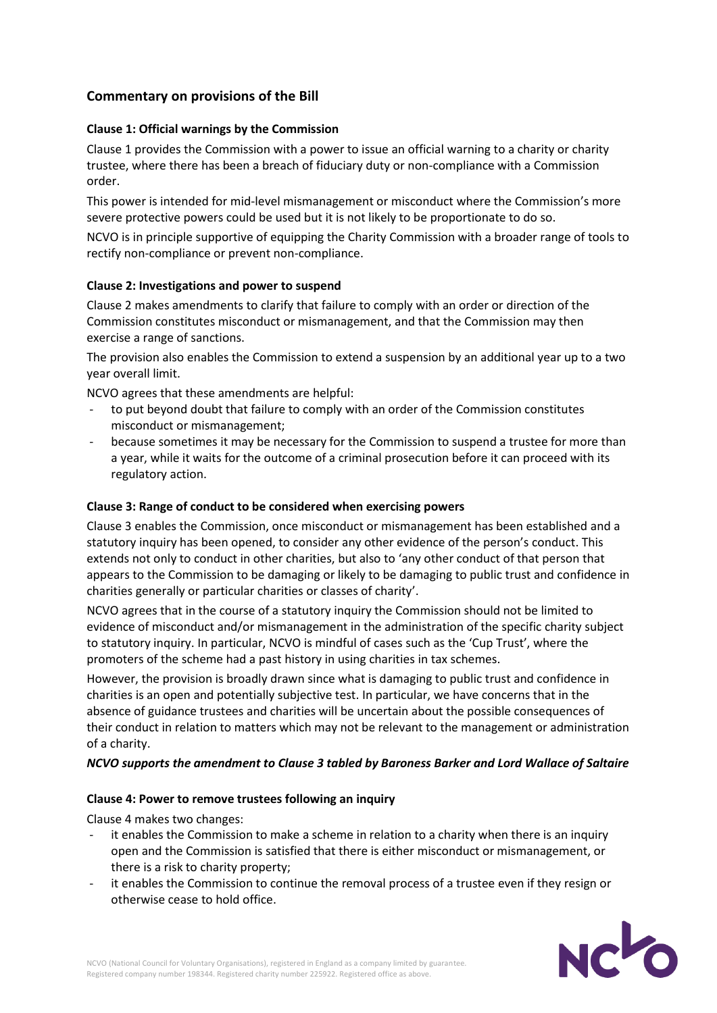## **Commentary on provisions of the Bill**

#### **Clause 1: Official warnings by the Commission**

Clause 1 provides the Commission with a power to issue an official warning to a charity or charity trustee, where there has been a breach of fiduciary duty or non-compliance with a Commission order.

This power is intended for mid-level mismanagement or misconduct where the Commission's more severe protective powers could be used but it is not likely to be proportionate to do so.

NCVO is in principle supportive of equipping the Charity Commission with a broader range of tools to rectify non-compliance or prevent non-compliance.

#### **Clause 2: Investigations and power to suspend**

Clause 2 makes amendments to clarify that failure to comply with an order or direction of the Commission constitutes misconduct or mismanagement, and that the Commission may then exercise a range of sanctions.

The provision also enables the Commission to extend a suspension by an additional year up to a two year overall limit.

NCVO agrees that these amendments are helpful:

- to put beyond doubt that failure to comply with an order of the Commission constitutes misconduct or mismanagement;
- because sometimes it may be necessary for the Commission to suspend a trustee for more than a year, while it waits for the outcome of a criminal prosecution before it can proceed with its regulatory action.

#### **Clause 3: Range of conduct to be considered when exercising powers**

Clause 3 enables the Commission, once misconduct or mismanagement has been established and a statutory inquiry has been opened, to consider any other evidence of the person's conduct. This extends not only to conduct in other charities, but also to 'any other conduct of that person that appears to the Commission to be damaging or likely to be damaging to public trust and confidence in charities generally or particular charities or classes of charity'.

NCVO agrees that in the course of a statutory inquiry the Commission should not be limited to evidence of misconduct and/or mismanagement in the administration of the specific charity subject to statutory inquiry. In particular, NCVO is mindful of cases such as the 'Cup Trust', where the promoters of the scheme had a past history in using charities in tax schemes.

However, the provision is broadly drawn since what is damaging to public trust and confidence in charities is an open and potentially subjective test. In particular, we have concerns that in the absence of guidance trustees and charities will be uncertain about the possible consequences of their conduct in relation to matters which may not be relevant to the management or administration of a charity.

#### *NCVO supports the amendment to Clause 3 tabled by Baroness Barker and Lord Wallace of Saltaire*

#### **Clause 4: Power to remove trustees following an inquiry**

Clause 4 makes two changes:

- it enables the Commission to make a scheme in relation to a charity when there is an inquiry open and the Commission is satisfied that there is either misconduct or mismanagement, or there is a risk to charity property;
- it enables the Commission to continue the removal process of a trustee even if they resign or otherwise cease to hold office.

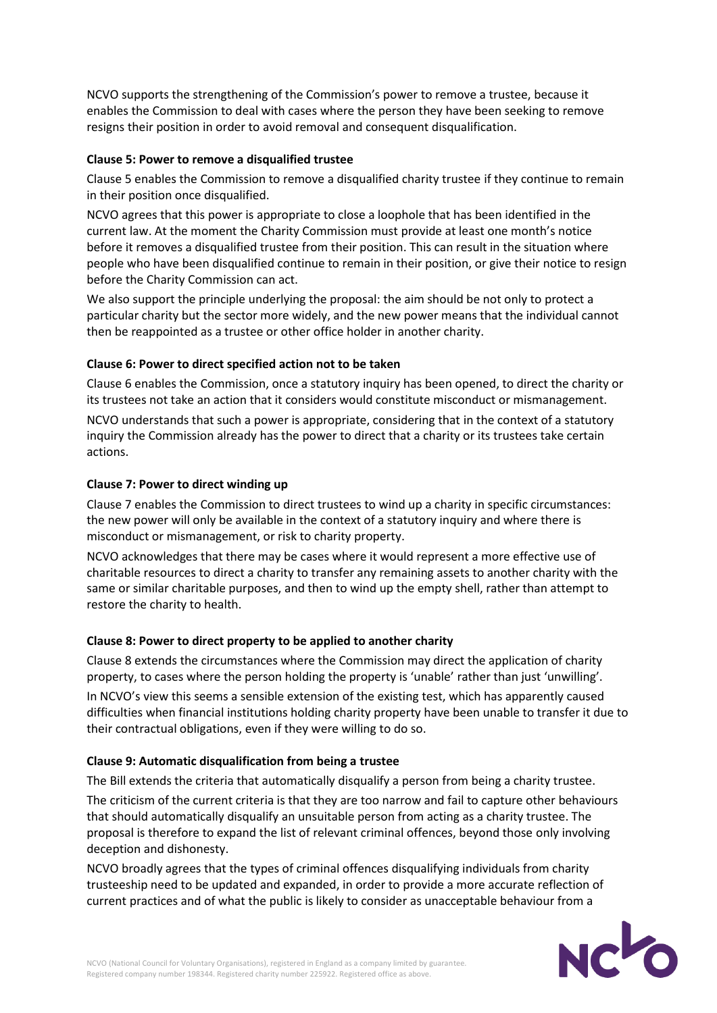NCVO supports the strengthening of the Commission's power to remove a trustee, because it enables the Commission to deal with cases where the person they have been seeking to remove resigns their position in order to avoid removal and consequent disqualification.

#### **Clause 5: Power to remove a disqualified trustee**

Clause 5 enables the Commission to remove a disqualified charity trustee if they continue to remain in their position once disqualified.

NCVO agrees that this power is appropriate to close a loophole that has been identified in the current law. At the moment the Charity Commission must provide at least one month's notice before it removes a disqualified trustee from their position. This can result in the situation where people who have been disqualified continue to remain in their position, or give their notice to resign before the Charity Commission can act.

We also support the principle underlying the proposal: the aim should be not only to protect a particular charity but the sector more widely, and the new power means that the individual cannot then be reappointed as a trustee or other office holder in another charity.

#### **Clause 6: Power to direct specified action not to be taken**

Clause 6 enables the Commission, once a statutory inquiry has been opened, to direct the charity or its trustees not take an action that it considers would constitute misconduct or mismanagement.

NCVO understands that such a power is appropriate, considering that in the context of a statutory inquiry the Commission already has the power to direct that a charity or its trustees take certain actions.

#### **Clause 7: Power to direct winding up**

Clause 7 enables the Commission to direct trustees to wind up a charity in specific circumstances: the new power will only be available in the context of a statutory inquiry and where there is misconduct or mismanagement, or risk to charity property.

NCVO acknowledges that there may be cases where it would represent a more effective use of charitable resources to direct a charity to transfer any remaining assets to another charity with the same or similar charitable purposes, and then to wind up the empty shell, rather than attempt to restore the charity to health.

#### **Clause 8: Power to direct property to be applied to another charity**

Clause 8 extends the circumstances where the Commission may direct the application of charity property, to cases where the person holding the property is 'unable' rather than just 'unwilling'. In NCVO's view this seems a sensible extension of the existing test, which has apparently caused difficulties when financial institutions holding charity property have been unable to transfer it due to their contractual obligations, even if they were willing to do so.

#### **Clause 9: Automatic disqualification from being a trustee**

The Bill extends the criteria that automatically disqualify a person from being a charity trustee.

The criticism of the current criteria is that they are too narrow and fail to capture other behaviours that should automatically disqualify an unsuitable person from acting as a charity trustee. The proposal is therefore to expand the list of relevant criminal offences, beyond those only involving deception and dishonesty.

NCVO broadly agrees that the types of criminal offences disqualifying individuals from charity trusteeship need to be updated and expanded, in order to provide a more accurate reflection of current practices and of what the public is likely to consider as unacceptable behaviour from a

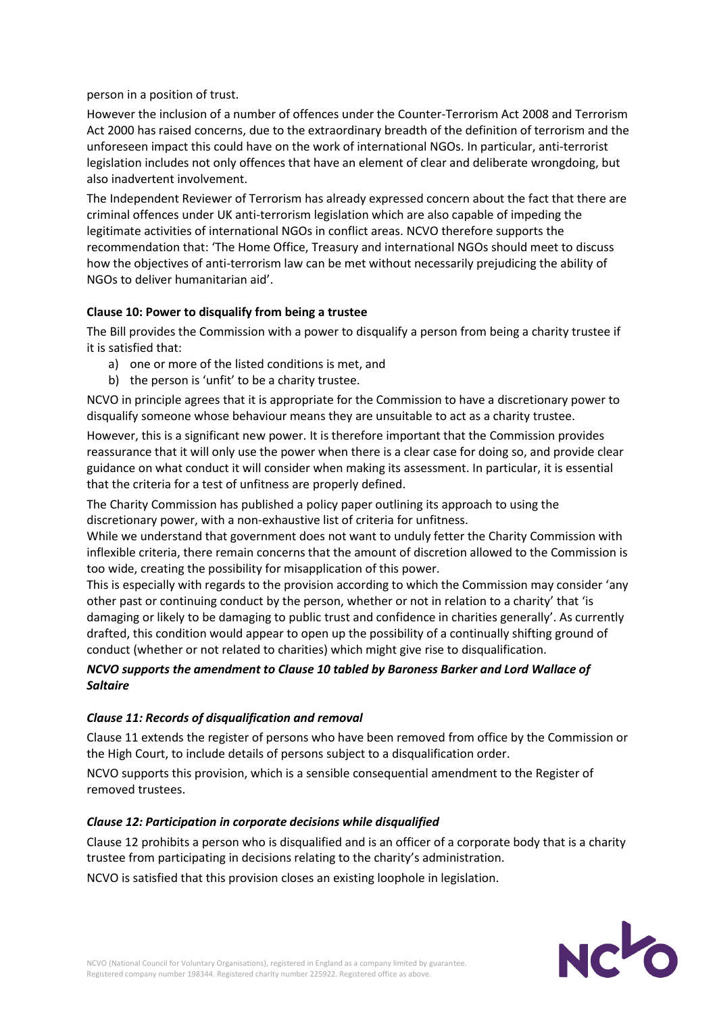person in a position of trust.

However the inclusion of a number of offences under the Counter-Terrorism Act 2008 and Terrorism Act 2000 has raised concerns, due to the extraordinary breadth of the definition of terrorism and the unforeseen impact this could have on the work of international NGOs. In particular, anti-terrorist legislation includes not only offences that have an element of clear and deliberate wrongdoing, but also inadvertent involvement.

The Independent Reviewer of Terrorism has already expressed concern about the fact that there are criminal offences under UK anti-terrorism legislation which are also capable of impeding the legitimate activities of international NGOs in conflict areas. NCVO therefore supports the recommendation that: 'The Home Office, Treasury and international NGOs should meet to discuss how the objectives of anti-terrorism law can be met without necessarily prejudicing the ability of NGOs to deliver humanitarian aid'.

#### **Clause 10: Power to disqualify from being a trustee**

The Bill provides the Commission with a power to disqualify a person from being a charity trustee if it is satisfied that:

- a) one or more of the listed conditions is met, and
- b) the person is 'unfit' to be a charity trustee.

NCVO in principle agrees that it is appropriate for the Commission to have a discretionary power to disqualify someone whose behaviour means they are unsuitable to act as a charity trustee.

However, this is a significant new power. It is therefore important that the Commission provides reassurance that it will only use the power when there is a clear case for doing so, and provide clear guidance on what conduct it will consider when making its assessment. In particular, it is essential that the criteria for a test of unfitness are properly defined.

The Charity Commission has published a policy paper outlining its approach to using the discretionary power, with a non-exhaustive list of criteria for unfitness.

While we understand that government does not want to unduly fetter the Charity Commission with inflexible criteria, there remain concerns that the amount of discretion allowed to the Commission is too wide, creating the possibility for misapplication of this power.

This is especially with regards to the provision according to which the Commission may consider 'any other past or continuing conduct by the person, whether or not in relation to a charity' that 'is damaging or likely to be damaging to public trust and confidence in charities generally'. As currently drafted, this condition would appear to open up the possibility of a continually shifting ground of conduct (whether or not related to charities) which might give rise to disqualification.

## *NCVO supports the amendment to Clause 10 tabled by Baroness Barker and Lord Wallace of Saltaire*

#### *Clause 11: Records of disqualification and removal*

Clause 11 extends the register of persons who have been removed from office by the Commission or the High Court, to include details of persons subject to a disqualification order.

NCVO supports this provision, which is a sensible consequential amendment to the Register of removed trustees.

#### *Clause 12: Participation in corporate decisions while disqualified*

Clause 12 prohibits a person who is disqualified and is an officer of a corporate body that is a charity trustee from participating in decisions relating to the charity's administration.

NCVO is satisfied that this provision closes an existing loophole in legislation.

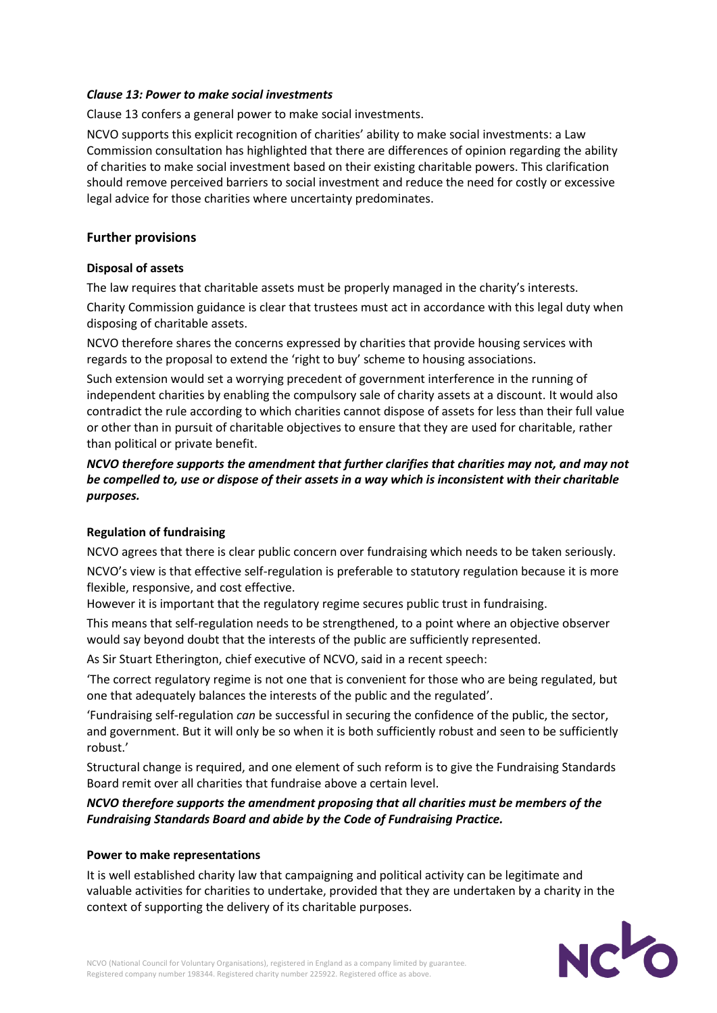#### *Clause 13: Power to make social investments*

Clause 13 confers a general power to make social investments.

NCVO supports this explicit recognition of charities' ability to make social investments: a Law Commission consultation has highlighted that there are differences of opinion regarding the ability of charities to make social investment based on their existing charitable powers. This clarification should remove perceived barriers to social investment and reduce the need for costly or excessive legal advice for those charities where uncertainty predominates.

#### **Further provisions**

#### **Disposal of assets**

The law requires that charitable assets must be properly managed in the charity's interests.

Charity Commission guidance is clear that trustees must act in accordance with this legal duty when disposing of charitable assets.

NCVO therefore shares the concerns expressed by charities that provide housing services with regards to the proposal to extend the 'right to buy' scheme to housing associations.

Such extension would set a worrying precedent of government interference in the running of independent charities by enabling the compulsory sale of charity assets at a discount. It would also contradict the rule according to which charities cannot dispose of assets for less than their full value or other than in pursuit of charitable objectives to ensure that they are used for charitable, rather than political or private benefit.

*NCVO therefore supports the amendment that further clarifies that charities may not, and may not be compelled to, use or dispose of their assets in a way which is inconsistent with their charitable purposes.*

#### **Regulation of fundraising**

NCVO agrees that there is clear public concern over fundraising which needs to be taken seriously.

NCVO's view is that effective self-regulation is preferable to statutory regulation because it is more flexible, responsive, and cost effective.

However it is important that the regulatory regime secures public trust in fundraising.

This means that self-regulation needs to be strengthened, to a point where an objective observer would say beyond doubt that the interests of the public are sufficiently represented.

As Sir Stuart Etherington, chief executive of NCVO, said in a recent speech:

'The correct regulatory regime is not one that is convenient for those who are being regulated, but one that adequately balances the interests of the public and the regulated'.

'Fundraising self-regulation *can* be successful in securing the confidence of the public, the sector, and government. But it will only be so when it is both sufficiently robust and seen to be sufficiently robust.'

Structural change is required, and one element of such reform is to give the Fundraising Standards Board remit over all charities that fundraise above a certain level.

*NCVO therefore supports the amendment proposing that all charities must be members of the Fundraising Standards Board and abide by the Code of Fundraising Practice.*

#### **Power to make representations**

It is well established charity law that campaigning and political activity can be legitimate and valuable activities for charities to undertake, provided that they are undertaken by a charity in the context of supporting the delivery of its charitable purposes.

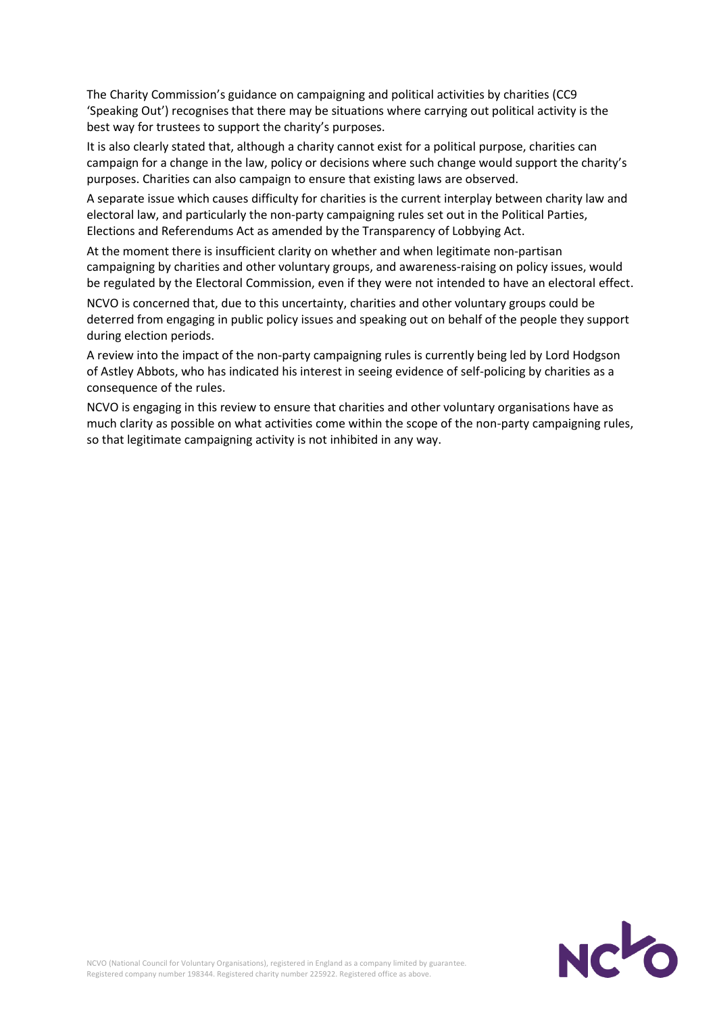The Charity Commission's guidance on campaigning and political activities by charities (CC9 'Speaking Out') recognises that there may be situations where carrying out political activity is the best way for trustees to support the charity's purposes.

It is also clearly stated that, although a charity cannot exist for a political purpose, charities can campaign for a change in the law, policy or decisions where such change would support the charity's purposes. Charities can also campaign to ensure that existing laws are observed.

A separate issue which causes difficulty for charities is the current interplay between charity law and electoral law, and particularly the non-party campaigning rules set out in the Political Parties, Elections and Referendums Act as amended by the Transparency of Lobbying Act.

At the moment there is insufficient clarity on whether and when legitimate non-partisan campaigning by charities and other voluntary groups, and awareness-raising on policy issues, would be regulated by the Electoral Commission, even if they were not intended to have an electoral effect.

NCVO is concerned that, due to this uncertainty, charities and other voluntary groups could be deterred from engaging in public policy issues and speaking out on behalf of the people they support during election periods.

A review into the impact of the non-party campaigning rules is currently being led by Lord Hodgson of Astley Abbots, who has indicated his interest in seeing evidence of self-policing by charities as a consequence of the rules.

NCVO is engaging in this review to ensure that charities and other voluntary organisations have as much clarity as possible on what activities come within the scope of the non-party campaigning rules, so that legitimate campaigning activity is not inhibited in any way.